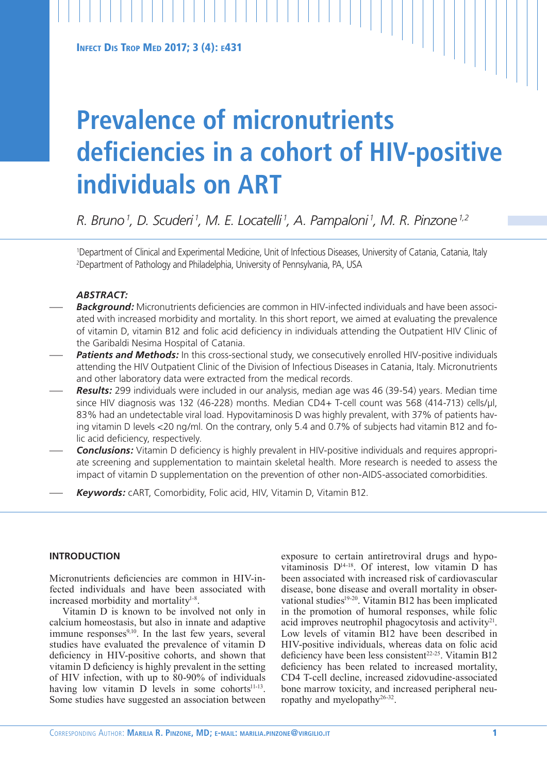# **Prevalence of micronutrients deficiencies in a cohort of HIV-positive individuals on ART**

*R. Bruno 1 , D. Scuderi 1 , M. E. Locatelli 1 , A. Pampaloni 1 , M. R. Pinzone 1,2*

1 Department of Clinical and Experimental Medicine, Unit of Infectious Diseases, University of Catania, Catania, Italy 2 Department of Pathology and Philadelphia, University of Pennsylvania, PA, USA

# *ABSTRACT:*

- *Background:* Micronutrients deficiencies are common in HIV-infected individuals and have been associated with increased morbidity and mortality. In this short report, we aimed at evaluating the prevalence of vitamin D, vitamin B12 and folic acid deficiency in individuals attending the Outpatient HIV Clinic of the Garibaldi Nesima Hospital of Catania.
- Patients and Methods: In this cross-sectional study, we consecutively enrolled HIV-positive individuals attending the HIV Outpatient Clinic of the Division of Infectious Diseases in Catania, Italy. Micronutrients and other laboratory data were extracted from the medical records.
- *Results:* 299 individuals were included in our analysis, median age was 46 (39-54) years. Median time since HIV diagnosis was 132 (46-228) months. Median CD4+ T-cell count was 568 (414-713) cells/µl, 83% had an undetectable viral load. Hypovitaminosis D was highly prevalent, with 37% of patients having vitamin D levels <20 ng/ml. On the contrary, only 5.4 and 0.7% of subjects had vitamin B12 and folic acid deficiency, respectively.
- *Conclusions:* Vitamin D deficiency is highly prevalent in HIV-positive individuals and requires appropriate screening and supplementation to maintain skeletal health. More research is needed to assess the impact of vitamin D supplementation on the prevention of other non-AIDS-associated comorbidities.
- *Keywords:* cART, Comorbidity, Folic acid, HIV, Vitamin D, Vitamin B12.

# **INTRODUCTION**

Micronutrients deficiencies are common in HIV-infected individuals and have been associated with increased morbidity and mortality<sup>1-8</sup>.

Vitamin D is known to be involved not only in calcium homeostasis, but also in innate and adaptive immune responses $9,10$ . In the last few years, several studies have evaluated the prevalence of vitamin D deficiency in HIV-positive cohorts, and shown that vitamin D deficiency is highly prevalent in the setting of HIV infection, with up to 80-90% of individuals having low vitamin  $D$  levels in some cohorts<sup>11-13</sup>. Some studies have suggested an association between exposure to certain antiretroviral drugs and hypovitaminosis D14-18. Of interest, low vitamin D has been associated with increased risk of cardiovascular disease, bone disease and overall mortality in observational studies<sup>19-20</sup>. Vitamin B12 has been implicated in the promotion of humoral responses, while folic acid improves neutrophil phagocytosis and activity<sup>21</sup>. Low levels of vitamin B12 have been described in HIV-positive individuals, whereas data on folic acid deficiency have been less consistent<sup>22-25</sup>. Vitamin B12 deficiency has been related to increased mortality, CD4 T-cell decline, increased zidovudine-associated bone marrow toxicity, and increased peripheral neuropathy and myelopathy<sup>26-32</sup>.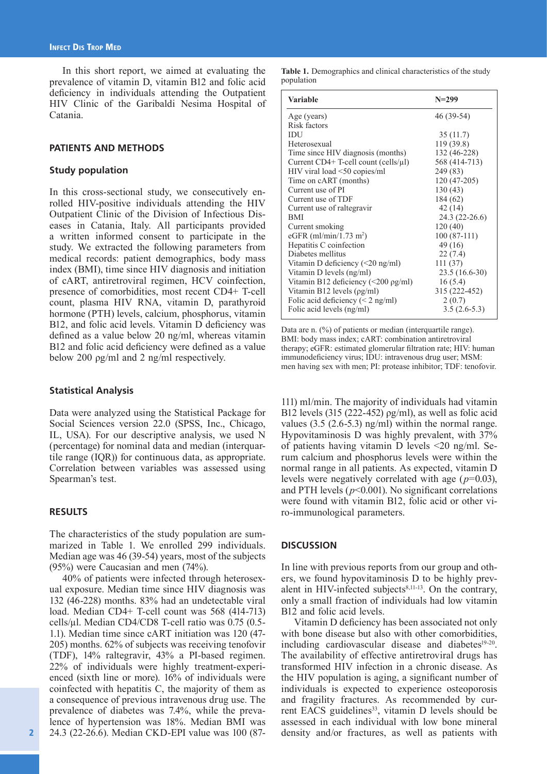In this short report, we aimed at evaluating the prevalence of vitamin D, vitamin B12 and folic acid deficiency in individuals attending the Outpatient HIV Clinic of the Garibaldi Nesima Hospital of Catania.

# **PATIENTS AND METHODS**

## **Study population**

In this cross-sectional study, we consecutively enrolled HIV-positive individuals attending the HIV Outpatient Clinic of the Division of Infectious Diseases in Catania, Italy. All participants provided a written informed consent to participate in the study. We extracted the following parameters from medical records: patient demographics, body mass index (BMI), time since HIV diagnosis and initiation of cART, antiretroviral regimen, HCV coinfection, presence of comorbidities, most recent CD4+ T-cell count, plasma HIV RNA, vitamin D, parathyroid hormone (PTH) levels, calcium, phosphorus, vitamin B12, and folic acid levels. Vitamin D deficiency was defined as a value below 20 ng/ml, whereas vitamin B12 and folic acid deficiency were defined as a value below 200 ρg/ml and 2 ng/ml respectively.

#### **Statistical Analysis**

Data were analyzed using the Statistical Package for Social Sciences version 22.0 (SPSS, Inc., Chicago, IL, USA). For our descriptive analysis, we used N (percentage) for nominal data and median (interquartile range (IQR)) for continuous data, as appropriate. Correlation between variables was assessed using Spearman's test.

## **RESULTS**

The characteristics of the study population are summarized in Table 1. We enrolled 299 individuals. Median age was 46 (39-54) years, most of the subjects (95%) were Caucasian and men (74%).

40% of patients were infected through heterosexual exposure. Median time since HIV diagnosis was 132 (46-228) months. 83% had an undetectable viral load. Median CD4+ T-cell count was 568 (414-713) cells/µl. Median CD4/CD8 T-cell ratio was 0.75 (0.5- 1.1). Median time since cART initiation was 120 (47- 205) months. 62% of subjects was receiving tenofovir (TDF), 14% raltegravir, 43% a PI-based regimen. 22% of individuals were highly treatment-experienced (sixth line or more). 16% of individuals were coinfected with hepatitis C, the majority of them as a consequence of previous intravenous drug use. The prevalence of diabetes was 7.4%, while the prevalence of hypertension was 18%. Median BMI was 24.3 (22-26.6). Median CKD-EPI value was 100 (87-

| <b>Variable</b>                                   | $N = 299$       |
|---------------------------------------------------|-----------------|
| Age (years)                                       | 46 (39-54)      |
| Risk factors                                      |                 |
| IDU                                               | 35(11.7)        |
| Heterosexual                                      | 119 (39.8)      |
| Time since HIV diagnosis (months)                 | 132 (46-228)    |
| Current $CD4+$ T-cell count (cells/ $\mu$ l)      | 568 (414-713)   |
| HIV viral load <50 copies/ml                      | 249 (83)        |
| Time on cART (months)                             | 120 (47-205)    |
| Current use of PI                                 | 130(43)         |
| Current use of TDF                                | 184 (62)        |
| Current use of raltegravir                        | 42(14)          |
| <b>BMI</b>                                        | $24.3(22-26.6)$ |
| Current smoking                                   | 120(40)         |
| eGFR $(ml/min/1.73 m2)$                           | $100(87-111)$   |
| Hepatitis C coinfection                           | 49(16)          |
| Diabetes mellitus                                 | 22(7.4)         |
| Vitamin D deficiency $(\leq 20 \text{ ng/ml})$    | 111(37)         |
| Vitamin D levels (ng/ml)                          | $23.5(16.6-30)$ |
| Vitamin B12 deficiency $(\leq 200 \text{ pg/ml})$ | 16(5.4)         |
| Vitamin B12 levels $(\rho g/ml)$                  | 315 (222-452)   |
| Folic acid deficiency $(< 2$ ng/ml)               | 2(0.7)          |
| Folic acid levels (ng/ml)                         | $3.5(2.6-5.3)$  |

Data are n.  $(\%)$  of patients or median (interquartile range). BMI: body mass index; cART: combination antiretroviral therapy; eGFR: estimated glomerular filtration rate; HIV: human immunodeficiency virus; IDU: intravenous drug user; MSM: men having sex with men; PI: protease inhibitor; TDF: tenofovir.

111) ml/min. The majority of individuals had vitamin B12 levels (315 (222-452) ρg/ml), as well as folic acid values (3.5 (2.6-5.3) ng/ml) within the normal range. Hypovitaminosis D was highly prevalent, with 37% of patients having vitamin D levels <20 ng/ml. Serum calcium and phosphorus levels were within the normal range in all patients. As expected, vitamin D levels were negatively correlated with age (*p*=0.03), and PTH levels  $(p<0.001)$ . No significant correlations were found with vitamin B12, folic acid or other viro-immunological parameters.

### **DISCUSSION**

In line with previous reports from our group and others, we found hypovitaminosis D to be highly prevalent in HIV-infected subjects $8,11-13$ . On the contrary, only a small fraction of individuals had low vitamin B12 and folic acid levels.

Vitamin D deficiency has been associated not only with bone disease but also with other comorbidities, including cardiovascular disease and diabetes $19-20$ . The availability of effective antiretroviral drugs has transformed HIV infection in a chronic disease. As the HIV population is aging, a significant number of individuals is expected to experience osteoporosis and fragility fractures. As recommended by current EACS guidelines<sup>33</sup>, vitamin D levels should be assessed in each individual with low bone mineral density and/or fractures, as well as patients with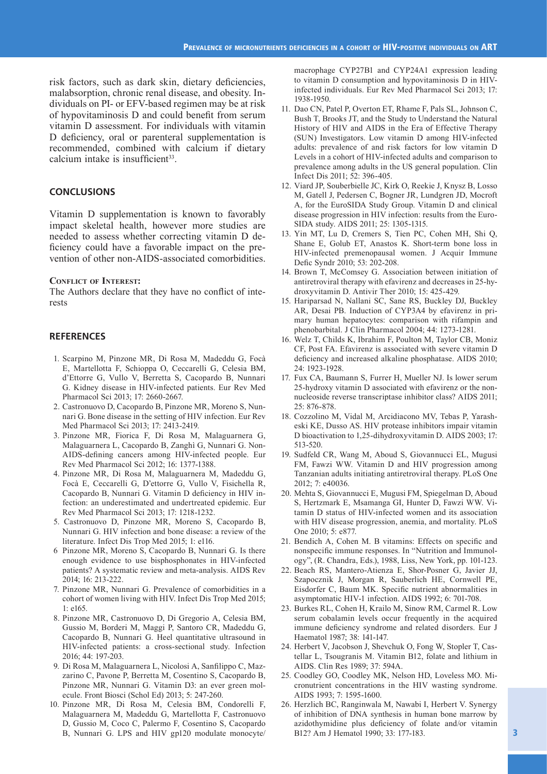risk factors, such as dark skin, dietary deficiencies, malabsorption, chronic renal disease, and obesity. Individuals on PI- or EFV-based regimen may be at risk of hypovitaminosis D and could benefit from serum vitamin D assessment. For individuals with vitamin D deficiency, oral or parenteral supplementation is recommended, combined with calcium if dietary calcium intake is insufficient<sup>33</sup>.

## **CONCLUSIONS**

Vitamin D supplementation is known to favorably impact skeletal health, however more studies are needed to assess whether correcting vitamin D deficiency could have a favorable impact on the prevention of other non-AIDS-associated comorbidities.

#### **Conflict of Interest:**

The Authors declare that they have no conflict of interests

### **REFERENCES**

- 1. Scarpino M, Pinzone MR, Di Rosa M, Madeddu G, Focà E, Martellotta F, Schioppa O, Ceccarelli G, Celesia BM, d'Ettorre G, Vullo V, Berretta S, Cacopardo B, Nunnari G. Kidney disease in HIV-infected patients. Eur Rev Med Pharmacol Sci 2013; 17: 2660-2667.
- 2. Castronuovo D, Cacopardo B, Pinzone MR, Moreno S, Nunnari G. Bone disease in the setting of HIV infection. Eur Rev Med Pharmacol Sci 2013; 17: 2413-2419.
- 3. Pinzone MR, Fiorica F, Di Rosa M, Malaguarnera G, Malaguarnera L, Cacopardo B, Zanghì G, Nunnari G. Non-AIDS-defining cancers among HIV-infected people. Eur Rev Med Pharmacol Sci 2012; 16: 1377-1388.
- 4. Pinzone MR, Di Rosa M, Malaguarnera M, Madeddu G, Focà E, Ceccarelli G, D'ettorre G, Vullo V, Fisichella R, Cacopardo B, Nunnari G. Vitamin D deficiency in HIV infection: an underestimated and undertreated epidemic. Eur Rev Med Pharmacol Sci 2013; 17: 1218-1232.
- 5. Castronuovo D, Pinzone MR, Moreno S, Cacopardo B, Nunnari G. HIV infection and bone disease: a review of the literature. Infect Dis Trop Med 2015; 1: e116.
- 6 Pinzone MR, Moreno S, Cacopardo B, Nunnari G. Is there enough evidence to use bisphosphonates in HIV-infected patients? A systematic review and meta-analysis. AIDS Rev 2014; 16: 213-222.
- 7. Pinzone MR, Nunnari G. Prevalence of comorbidities in a cohort of women living with HIV. Infect Dis Trop Med 2015; 1: e165.
- 8. Pinzone MR, Castronuovo D, Di Gregorio A, Celesia BM, Gussio M, Borderi M, Maggi P, Santoro CR, Madeddu G, Cacopardo B, Nunnari G. Heel quantitative ultrasound in HIV-infected patients: a cross-sectional study. Infection 2016; 44: 197-203.
- 9. Di Rosa M, Malaguarnera L, Nicolosi A, Sanfilippo C, Mazzarino C, Pavone P, Berretta M, Cosentino S, Cacopardo B, Pinzone MR, Nunnari G. Vitamin D3: an ever green molecule. Front Biosci (Schol Ed) 2013; 5: 247-260.
- 10. Pinzone MR, Di Rosa M, Celesia BM, Condorelli F, Malaguarnera M, Madeddu G, Martellotta F, Castronuovo D, Gussio M, Coco C, Palermo F, Cosentino S, Cacopardo B, Nunnari G. LPS and HIV gp120 modulate monocyte/

macrophage CYP27B1 and CYP24A1 expression leading to vitamin D consumption and hypovitaminosis D in HIVinfected individuals. Eur Rev Med Pharmacol Sci 2013; 17: 1938-1950.

- 11. Dao CN, Patel P, Overton ET, Rhame F, Pals SL, Johnson C, Bush T, Brooks JT, and the Study to Understand the Natural History of HIV and AIDS in the Era of Effective Therapy (SUN) Investigators. Low vitamin D among HIV-infected adults: prevalence of and risk factors for low vitamin D Levels in a cohort of HIV-infected adults and comparison to prevalence among adults in the US general population. Clin Infect Dis 2011; 52: 396-405.
- 12. Viard JP, Souberbielle JC, Kirk O, Reekie J, Knysz B, Losso M, Gatell J, Pedersen C, Bogner JR, Lundgren JD, Mocroft A, for the EuroSIDA Study Group. Vitamin D and clinical disease progression in HIV infection: results from the Euro-SIDA study. AIDS 2011; 25: 1305-1315.
- 13. Yin MT, Lu D, Cremers S, Tien PC, Cohen MH, Shi Q, Shane E, Golub ET, Anastos K. Short-term bone loss in HIV-infected premenopausal women. J Acquir Immune Defic Syndr 2010; 53: 202-208.
- 14. Brown T, McComsey G. Association between initiation of antiretroviral therapy with efavirenz and decreases in 25-hydroxyvitamin D. Antivir Ther 2010; 15: 425-429.
- 15. Hariparsad N, Nallani SC, Sane RS, Buckley DJ, Buckley AR, Desai PB. Induction of CYP3A4 by efavirenz in primary human hepatocytes: comparison with rifampin and phenobarbital. J Clin Pharmacol 2004; 44: 1273-1281.
- 16. Welz T, Childs K, Ibrahim F, Poulton M, Taylor CB, Moniz CF, Post FA. Efavirenz is associated with severe vitamin D deficiency and increased alkaline phosphatase. AIDS 2010; 24: 1923-1928.
- 17. Fux CA, Baumann S, Furrer H, Mueller NJ. Is lower serum 25-hydroxy vitamin D associated with efavirenz or the nonnucleoside reverse transcriptase inhibitor class? AIDS 2011; 25: 876-878.
- 18. Cozzolino M, Vidal M, Arcidiacono MV, Tebas P, Yarasheski KE, Dusso AS. HIV protease inhibitors impair vitamin D bioactivation to 1,25-dihydroxyvitamin D. AIDS 2003; 17: 513-520.
- 19. Sudfeld CR, Wang M, Aboud S, Giovannucci EL, Mugusi FM, Fawzi WW. Vitamin D and HIV progression among Tanzanian adults initiating antiretroviral therapy. PLoS One 2012; 7: e40036.
- 20. Mehta S, Giovannucci E, Mugusi FM, Spiegelman D, Aboud S, Hertzmark E, Msamanga GI, Hunter D, Fawzi WW. Vitamin D status of HIV-infected women and its association with HIV disease progression, anemia, and mortality. PLoS One 2010; 5: e877.
- 21. Bendich A, Cohen M. B vitamins: Effects on specific and nonspecific immune responses. In "Nutrition and Immunology", (R. Chandra, Eds.), 1988, Liss, New York, pp. 101-123.
- 22. Beach RS, Mantero-Atienza E, Shor-Posner G, Javier JJ, Szapocznik J, Morgan R, Sauberlich HE, Cornwell PE, Eisdorfer C, Baum MK. Specific nutrient abnormalities in asymptomatic HIV-1 infection. AIDS 1992; 6: 701-708.
- 23. Burkes RL, Cohen H, Krailo M, Sinow RM, Carmel R. Low serum cobalamin levels occur frequently in the acquired immune deficiency syndrome and related disorders. Eur J Haematol 1987; 38: 141-147.
- 24. Herbert V, Jacobson J, Shevchuk O, Fong W, Stopler T, Castellar L, Tsougranis M. Vitamin B12, folate and lithium in AIDS. Clin Res 1989; 37: 594A.
- 25. Coodley GO, Coodley MK, Nelson HD, Loveless MO. Micronutrient concentrations in the HIV wasting syndrome. AIDS 1993; 7: 1595-1600.
- 26. Herzlich BC, Ranginwala M, Nawabi I, Herbert V. Synergy of inhibition of DNA synthesis in human bone marrow by azidothymidine plus deficiency of folate and/or vitamin B12? Am J Hematol 1990; 33: 177-183.